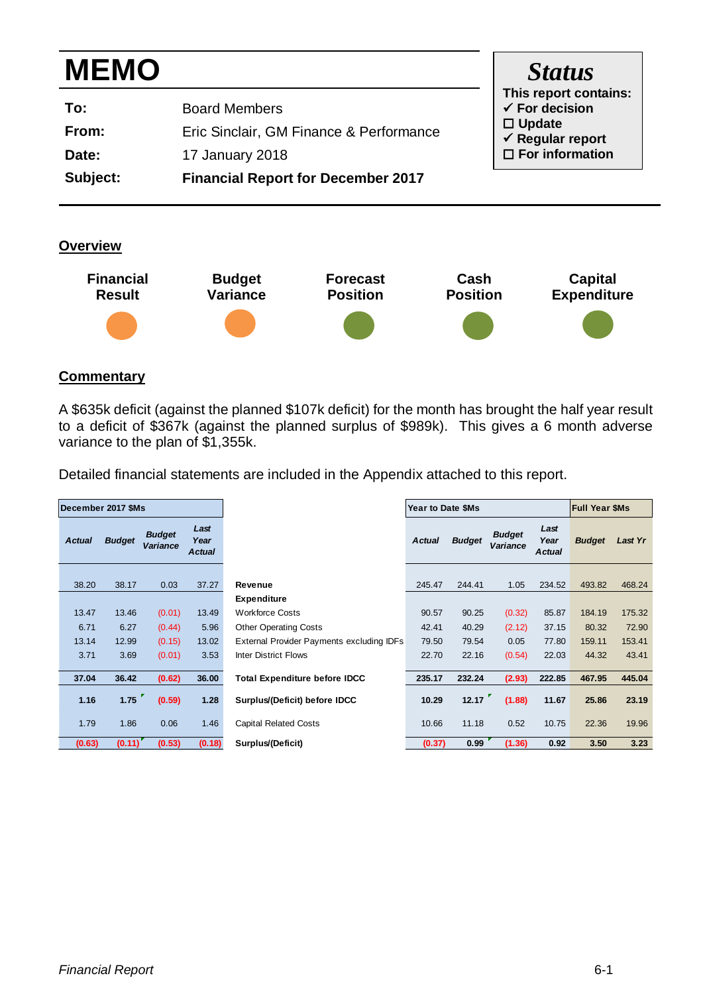| <b>MEMO</b> |                                           | <b>Status</b>                                      |
|-------------|-------------------------------------------|----------------------------------------------------|
| To:         | <b>Board Members</b>                      | This report contains:<br>$\checkmark$ For decision |
| From:       | Eric Sinclair, GM Finance & Performance   | $\Box$ Update<br>$\checkmark$ Regular report       |
| Date:       | 17 January 2018                           | $\Box$ For information                             |
| Subject:    | <b>Financial Report for December 2017</b> |                                                    |

**Overview**



### **Commentary**

A \$635k deficit (against the planned \$107k deficit) for the month has brought the half year result to a deficit of \$367k (against the planned surplus of \$989k). This gives a 6 month adverse variance to the plan of \$1,355k.

Detailed financial statements are included in the Appendix attached to this report.

|               | December 2017 \$Ms |                                  |                               |                                           | Year to Date \$Ms |               |                                  | <b>Full Year \$Ms</b>         |               |         |
|---------------|--------------------|----------------------------------|-------------------------------|-------------------------------------------|-------------------|---------------|----------------------------------|-------------------------------|---------------|---------|
| <b>Actual</b> | <b>Budget</b>      | <b>Budget</b><br><b>Variance</b> | Last<br>Year<br><b>Actual</b> |                                           | <b>Actual</b>     | <b>Budget</b> | <b>Budget</b><br><b>Variance</b> | Last<br>Year<br><b>Actual</b> | <b>Budget</b> | Last Yr |
| 38.20         | 38.17              | 0.03                             | 37.27                         | Revenue                                   | 245.47            | 244.41        | 1.05                             | 234.52                        | 493.82        | 468.24  |
|               |                    |                                  |                               | <b>Expenditure</b>                        |                   |               |                                  |                               |               |         |
| 13.47         | 13.46              | (0.01)                           | 13.49                         | <b>Workforce Costs</b>                    | 90.57             | 90.25         | (0.32)                           | 85.87                         | 184.19        | 175.32  |
| 6.71          | 6.27               | (0.44)                           | 5.96                          | <b>Other Operating Costs</b>              | 42.41             | 40.29         | (2.12)                           | 37.15                         | 80.32         | 72.90   |
| 13.14         | 12.99              | (0.15)                           | 13.02                         | External Provider Payments excluding IDFs | 79.50             | 79.54         | 0.05                             | 77.80                         | 159.11        | 153.41  |
| 3.71          | 3.69               | (0.01)                           | 3.53                          | <b>Inter District Flows</b>               | 22.70             | 22.16         | (0.54)                           | 22.03                         | 44.32         | 43.41   |
| 37.04         | 36.42              | (0.62)                           | 36.00                         | <b>Total Expenditure before IDCC</b>      | 235.17            | 232.24        | (2.93)                           | 222.85                        | 467.95        | 445.04  |
| 1.16          | 1.75               | (0.59)                           | 1.28                          | Surplus/(Deficit) before IDCC             | 10.29             | 12.17         | (1.88)                           | 11.67                         | 25.86         | 23.19   |
| 1.79          | 1.86               | 0.06                             | 1.46                          | <b>Capital Related Costs</b>              | 10.66             | 11.18         | 0.52                             | 10.75                         | 22.36         | 19.96   |
| (0.63)        | (0.11)             | (0.53)                           | (0.18)                        | Surplus/(Deficit)                         | (0.37)            | 0.99          | (1.36)                           | 0.92                          | 3.50          | 3.23    |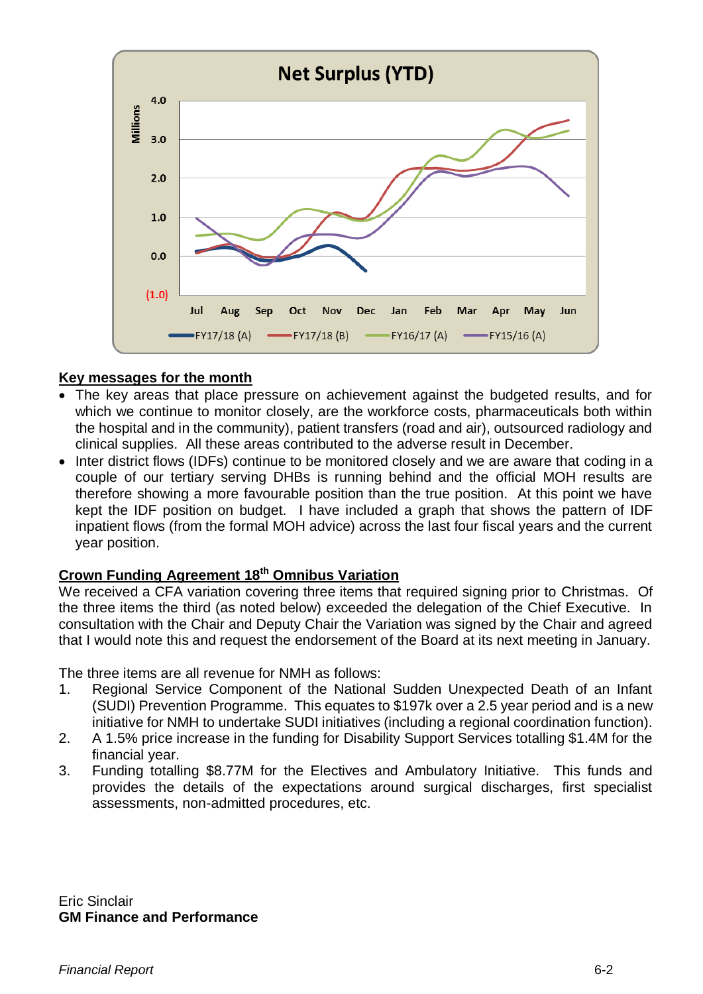

### **Key messages for the month**

- The key areas that place pressure on achievement against the budgeted results, and for which we continue to monitor closely, are the workforce costs, pharmaceuticals both within the hospital and in the community), patient transfers (road and air), outsourced radiology and clinical supplies. All these areas contributed to the adverse result in December.
- Inter district flows (IDFs) continue to be monitored closely and we are aware that coding in a couple of our tertiary serving DHBs is running behind and the official MOH results are therefore showing a more favourable position than the true position. At this point we have kept the IDF position on budget. I have included a graph that shows the pattern of IDF inpatient flows (from the formal MOH advice) across the last four fiscal years and the current year position.

#### **Crown Funding Agreement 18th Omnibus Variation**

We received a CFA variation covering three items that required signing prior to Christmas. Of the three items the third (as noted below) exceeded the delegation of the Chief Executive. In consultation with the Chair and Deputy Chair the Variation was signed by the Chair and agreed that I would note this and request the endorsement of the Board at its next meeting in January.

The three items are all revenue for NMH as follows:

- 1. Regional Service Component of the National Sudden Unexpected Death of an Infant (SUDI) Prevention Programme. This equates to \$197k over a 2.5 year period and is a new initiative for NMH to undertake SUDI initiatives (including a regional coordination function).
- 2. A 1.5% price increase in the funding for Disability Support Services totalling \$1.4M for the financial year.
- 3. Funding totalling \$8.77M for the Electives and Ambulatory Initiative. This funds and provides the details of the expectations around surgical discharges, first specialist assessments, non-admitted procedures, etc.

Eric Sinclair **GM Finance and Performance**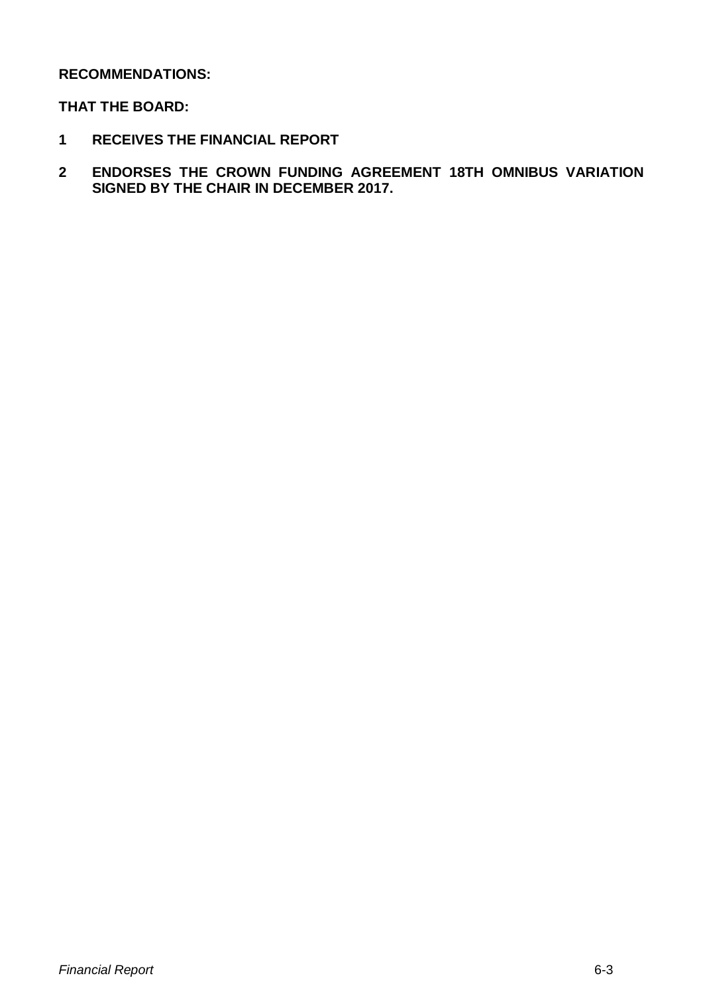### **RECOMMENDATIONS:**

### **THAT THE BOARD:**

- **1 RECEIVES THE FINANCIAL REPORT**
- **2 ENDORSES THE CROWN FUNDING AGREEMENT 18TH OMNIBUS VARIATION SIGNED BY THE CHAIR IN DECEMBER 2017.**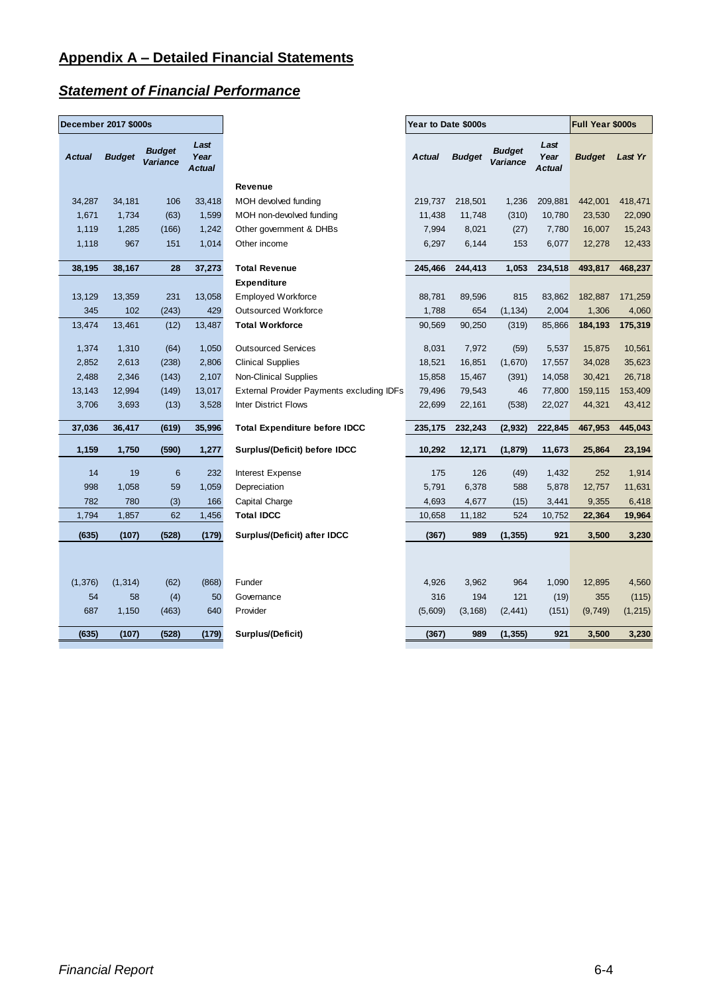# *Statement of Financial Performance*

| Last<br>Last<br><b>Budget</b><br><b>Budget</b><br><b>Actual</b><br><b>Budget</b><br>Year<br><b>Actual</b><br><b>Budget</b><br>Year<br><b>Budget</b><br>Variance<br>Variance<br><b>Actual</b><br><b>Actual</b><br>Revenue<br>34,181<br>33,418<br>209,881<br>442,001<br>34,287<br>106<br>MOH devolved funding<br>219,737<br>218,501<br>1,236<br>1,671<br>1,734<br>1,599<br>MOH non-devolved funding<br>(310)<br>(63)<br>11,438<br>11,748<br>10,780<br>23,530<br>1,119<br>1,285<br>1,242<br>7,994<br>8,021<br>16,007<br>(166)<br>Other government & DHBs<br>(27)<br>7,780<br>967<br>151<br>1,014<br>153<br>6,077<br>1,118<br>Other income<br>6,297<br>6,144<br>12,278<br>38,195<br>37,273<br>244,413<br>1,053<br>234,518<br>38,167<br>28<br><b>Total Revenue</b><br>245,466<br>493,817<br><b>Expenditure</b><br>231<br>815<br>13,129<br>13,359<br>13,058<br><b>Employed Workforce</b><br>88,781<br>89,596<br>83,862<br>182,887<br>102<br><b>Outsourced Workforce</b><br>2,004<br>1,306<br>345<br>(243)<br>429<br>1,788<br>654<br>(1, 134)<br>13,474<br>13,461<br>13,487<br>85,866<br>184,193<br>(12)<br><b>Total Workforce</b><br>90,569<br>90,250<br>(319)<br>1,310<br>7,972<br>1,374<br>(64)<br>1,050<br><b>Outsourced Services</b><br>8,031<br>(59)<br>5,537<br>15,875<br>2,852<br>2,613<br>2,806<br>16,851<br>(1,670)<br>(238)<br><b>Clinical Supplies</b><br>18,521<br>17,557<br>34,028<br>2,488<br>2,346<br>2,107<br>(143)<br>Non-Clinical Supplies<br>15,858<br>15,467<br>(391)<br>14,058<br>30,421<br>13,143<br>12,994<br>(149)<br>13,017<br><b>External Provider Payments excluding IDFs</b><br>79,496<br>79,543<br>46<br>77,800<br>159,115<br>3,706<br>3,693<br>(13)<br>3,528<br><b>Inter District Flows</b><br>22,699<br>22,161<br>(538)<br>22,027<br>44,321<br>37,036<br>36,417<br>35,996<br><b>Total Expenditure before IDCC</b><br>235,175<br>232,243<br>(2,932)<br>222,845<br>(619)<br>467,953<br>1,159<br>1,750<br>(590)<br>1,277<br>Surplus/(Deficit) before IDCC<br>10,292<br>12,171<br>(1, 879)<br>11,673<br>25,864<br>126<br>14<br>19<br>6<br>232<br>175<br>(49)<br>1,432<br>252<br><b>Interest Expense</b><br>998<br>59<br>5,791<br>6,378<br>588<br>12,757<br>1,058<br>1,059<br>Depreciation<br>5,878<br>782<br>780<br>(3)<br>166<br>Capital Charge<br>4,693<br>4,677<br>(15)<br>3,441<br>9,355<br>1,794<br>62<br><b>Total IDCC</b><br>524<br>22,364<br>1,857<br>1,456<br>10,658<br>11,182<br>10,752<br>(635)<br>(107)<br>(528)<br>(179)<br>Surplus/(Deficit) after IDCC<br>989<br>(1, 355)<br>921<br>(367)<br>3,500<br>(1, 376)<br>964<br>(1, 314)<br>(62)<br>(868)<br>Funder<br>4,926<br>3,962<br>1,090<br>12,895<br>54<br>58<br>(4)<br>50<br>316<br>194<br>121<br>355<br>Governance<br>(19)<br>687<br>640<br>Provider<br>1,150<br>(463)<br>(5,609)<br>(3, 168)<br>(151)<br>(9,749)<br>(2, 441)<br>Surplus/(Deficit)<br>921<br>3,500<br>(635)<br>(107)<br>(528)<br>(179)<br>(367)<br>989<br>(1, 355) | <b>December 2017 \$000s</b> |  |  | <b>Year to Date \$000s</b> |  |  | Full Year \$000s |  |          |
|--------------------------------------------------------------------------------------------------------------------------------------------------------------------------------------------------------------------------------------------------------------------------------------------------------------------------------------------------------------------------------------------------------------------------------------------------------------------------------------------------------------------------------------------------------------------------------------------------------------------------------------------------------------------------------------------------------------------------------------------------------------------------------------------------------------------------------------------------------------------------------------------------------------------------------------------------------------------------------------------------------------------------------------------------------------------------------------------------------------------------------------------------------------------------------------------------------------------------------------------------------------------------------------------------------------------------------------------------------------------------------------------------------------------------------------------------------------------------------------------------------------------------------------------------------------------------------------------------------------------------------------------------------------------------------------------------------------------------------------------------------------------------------------------------------------------------------------------------------------------------------------------------------------------------------------------------------------------------------------------------------------------------------------------------------------------------------------------------------------------------------------------------------------------------------------------------------------------------------------------------------------------------------------------------------------------------------------------------------------------------------------------------------------------------------------------------------------------------------------------------------------------------------------------------------------------------------------------------------------------------------------------------------------------------------------------------------------------------------------------------------------------------------------------------------------------------------------------------------------------------------------------------------------------------|-----------------------------|--|--|----------------------------|--|--|------------------|--|----------|
|                                                                                                                                                                                                                                                                                                                                                                                                                                                                                                                                                                                                                                                                                                                                                                                                                                                                                                                                                                                                                                                                                                                                                                                                                                                                                                                                                                                                                                                                                                                                                                                                                                                                                                                                                                                                                                                                                                                                                                                                                                                                                                                                                                                                                                                                                                                                                                                                                                                                                                                                                                                                                                                                                                                                                                                                                                                                                                                          |                             |  |  |                            |  |  |                  |  | Last Yr  |
|                                                                                                                                                                                                                                                                                                                                                                                                                                                                                                                                                                                                                                                                                                                                                                                                                                                                                                                                                                                                                                                                                                                                                                                                                                                                                                                                                                                                                                                                                                                                                                                                                                                                                                                                                                                                                                                                                                                                                                                                                                                                                                                                                                                                                                                                                                                                                                                                                                                                                                                                                                                                                                                                                                                                                                                                                                                                                                                          |                             |  |  |                            |  |  |                  |  |          |
|                                                                                                                                                                                                                                                                                                                                                                                                                                                                                                                                                                                                                                                                                                                                                                                                                                                                                                                                                                                                                                                                                                                                                                                                                                                                                                                                                                                                                                                                                                                                                                                                                                                                                                                                                                                                                                                                                                                                                                                                                                                                                                                                                                                                                                                                                                                                                                                                                                                                                                                                                                                                                                                                                                                                                                                                                                                                                                                          |                             |  |  |                            |  |  |                  |  | 418,471  |
|                                                                                                                                                                                                                                                                                                                                                                                                                                                                                                                                                                                                                                                                                                                                                                                                                                                                                                                                                                                                                                                                                                                                                                                                                                                                                                                                                                                                                                                                                                                                                                                                                                                                                                                                                                                                                                                                                                                                                                                                                                                                                                                                                                                                                                                                                                                                                                                                                                                                                                                                                                                                                                                                                                                                                                                                                                                                                                                          |                             |  |  |                            |  |  |                  |  | 22,090   |
|                                                                                                                                                                                                                                                                                                                                                                                                                                                                                                                                                                                                                                                                                                                                                                                                                                                                                                                                                                                                                                                                                                                                                                                                                                                                                                                                                                                                                                                                                                                                                                                                                                                                                                                                                                                                                                                                                                                                                                                                                                                                                                                                                                                                                                                                                                                                                                                                                                                                                                                                                                                                                                                                                                                                                                                                                                                                                                                          |                             |  |  |                            |  |  |                  |  | 15,243   |
|                                                                                                                                                                                                                                                                                                                                                                                                                                                                                                                                                                                                                                                                                                                                                                                                                                                                                                                                                                                                                                                                                                                                                                                                                                                                                                                                                                                                                                                                                                                                                                                                                                                                                                                                                                                                                                                                                                                                                                                                                                                                                                                                                                                                                                                                                                                                                                                                                                                                                                                                                                                                                                                                                                                                                                                                                                                                                                                          |                             |  |  |                            |  |  |                  |  | 12,433   |
|                                                                                                                                                                                                                                                                                                                                                                                                                                                                                                                                                                                                                                                                                                                                                                                                                                                                                                                                                                                                                                                                                                                                                                                                                                                                                                                                                                                                                                                                                                                                                                                                                                                                                                                                                                                                                                                                                                                                                                                                                                                                                                                                                                                                                                                                                                                                                                                                                                                                                                                                                                                                                                                                                                                                                                                                                                                                                                                          |                             |  |  |                            |  |  |                  |  | 468,237  |
|                                                                                                                                                                                                                                                                                                                                                                                                                                                                                                                                                                                                                                                                                                                                                                                                                                                                                                                                                                                                                                                                                                                                                                                                                                                                                                                                                                                                                                                                                                                                                                                                                                                                                                                                                                                                                                                                                                                                                                                                                                                                                                                                                                                                                                                                                                                                                                                                                                                                                                                                                                                                                                                                                                                                                                                                                                                                                                                          |                             |  |  |                            |  |  |                  |  |          |
|                                                                                                                                                                                                                                                                                                                                                                                                                                                                                                                                                                                                                                                                                                                                                                                                                                                                                                                                                                                                                                                                                                                                                                                                                                                                                                                                                                                                                                                                                                                                                                                                                                                                                                                                                                                                                                                                                                                                                                                                                                                                                                                                                                                                                                                                                                                                                                                                                                                                                                                                                                                                                                                                                                                                                                                                                                                                                                                          |                             |  |  |                            |  |  |                  |  | 171,259  |
|                                                                                                                                                                                                                                                                                                                                                                                                                                                                                                                                                                                                                                                                                                                                                                                                                                                                                                                                                                                                                                                                                                                                                                                                                                                                                                                                                                                                                                                                                                                                                                                                                                                                                                                                                                                                                                                                                                                                                                                                                                                                                                                                                                                                                                                                                                                                                                                                                                                                                                                                                                                                                                                                                                                                                                                                                                                                                                                          |                             |  |  |                            |  |  |                  |  | 4,060    |
|                                                                                                                                                                                                                                                                                                                                                                                                                                                                                                                                                                                                                                                                                                                                                                                                                                                                                                                                                                                                                                                                                                                                                                                                                                                                                                                                                                                                                                                                                                                                                                                                                                                                                                                                                                                                                                                                                                                                                                                                                                                                                                                                                                                                                                                                                                                                                                                                                                                                                                                                                                                                                                                                                                                                                                                                                                                                                                                          |                             |  |  |                            |  |  |                  |  | 175,319  |
|                                                                                                                                                                                                                                                                                                                                                                                                                                                                                                                                                                                                                                                                                                                                                                                                                                                                                                                                                                                                                                                                                                                                                                                                                                                                                                                                                                                                                                                                                                                                                                                                                                                                                                                                                                                                                                                                                                                                                                                                                                                                                                                                                                                                                                                                                                                                                                                                                                                                                                                                                                                                                                                                                                                                                                                                                                                                                                                          |                             |  |  |                            |  |  |                  |  | 10,561   |
|                                                                                                                                                                                                                                                                                                                                                                                                                                                                                                                                                                                                                                                                                                                                                                                                                                                                                                                                                                                                                                                                                                                                                                                                                                                                                                                                                                                                                                                                                                                                                                                                                                                                                                                                                                                                                                                                                                                                                                                                                                                                                                                                                                                                                                                                                                                                                                                                                                                                                                                                                                                                                                                                                                                                                                                                                                                                                                                          |                             |  |  |                            |  |  |                  |  | 35,623   |
|                                                                                                                                                                                                                                                                                                                                                                                                                                                                                                                                                                                                                                                                                                                                                                                                                                                                                                                                                                                                                                                                                                                                                                                                                                                                                                                                                                                                                                                                                                                                                                                                                                                                                                                                                                                                                                                                                                                                                                                                                                                                                                                                                                                                                                                                                                                                                                                                                                                                                                                                                                                                                                                                                                                                                                                                                                                                                                                          |                             |  |  |                            |  |  |                  |  | 26,718   |
|                                                                                                                                                                                                                                                                                                                                                                                                                                                                                                                                                                                                                                                                                                                                                                                                                                                                                                                                                                                                                                                                                                                                                                                                                                                                                                                                                                                                                                                                                                                                                                                                                                                                                                                                                                                                                                                                                                                                                                                                                                                                                                                                                                                                                                                                                                                                                                                                                                                                                                                                                                                                                                                                                                                                                                                                                                                                                                                          |                             |  |  |                            |  |  |                  |  | 153,409  |
|                                                                                                                                                                                                                                                                                                                                                                                                                                                                                                                                                                                                                                                                                                                                                                                                                                                                                                                                                                                                                                                                                                                                                                                                                                                                                                                                                                                                                                                                                                                                                                                                                                                                                                                                                                                                                                                                                                                                                                                                                                                                                                                                                                                                                                                                                                                                                                                                                                                                                                                                                                                                                                                                                                                                                                                                                                                                                                                          |                             |  |  |                            |  |  |                  |  | 43,412   |
|                                                                                                                                                                                                                                                                                                                                                                                                                                                                                                                                                                                                                                                                                                                                                                                                                                                                                                                                                                                                                                                                                                                                                                                                                                                                                                                                                                                                                                                                                                                                                                                                                                                                                                                                                                                                                                                                                                                                                                                                                                                                                                                                                                                                                                                                                                                                                                                                                                                                                                                                                                                                                                                                                                                                                                                                                                                                                                                          |                             |  |  |                            |  |  |                  |  | 445,043  |
|                                                                                                                                                                                                                                                                                                                                                                                                                                                                                                                                                                                                                                                                                                                                                                                                                                                                                                                                                                                                                                                                                                                                                                                                                                                                                                                                                                                                                                                                                                                                                                                                                                                                                                                                                                                                                                                                                                                                                                                                                                                                                                                                                                                                                                                                                                                                                                                                                                                                                                                                                                                                                                                                                                                                                                                                                                                                                                                          |                             |  |  |                            |  |  |                  |  | 23,194   |
|                                                                                                                                                                                                                                                                                                                                                                                                                                                                                                                                                                                                                                                                                                                                                                                                                                                                                                                                                                                                                                                                                                                                                                                                                                                                                                                                                                                                                                                                                                                                                                                                                                                                                                                                                                                                                                                                                                                                                                                                                                                                                                                                                                                                                                                                                                                                                                                                                                                                                                                                                                                                                                                                                                                                                                                                                                                                                                                          |                             |  |  |                            |  |  |                  |  | 1,914    |
|                                                                                                                                                                                                                                                                                                                                                                                                                                                                                                                                                                                                                                                                                                                                                                                                                                                                                                                                                                                                                                                                                                                                                                                                                                                                                                                                                                                                                                                                                                                                                                                                                                                                                                                                                                                                                                                                                                                                                                                                                                                                                                                                                                                                                                                                                                                                                                                                                                                                                                                                                                                                                                                                                                                                                                                                                                                                                                                          |                             |  |  |                            |  |  |                  |  | 11,631   |
|                                                                                                                                                                                                                                                                                                                                                                                                                                                                                                                                                                                                                                                                                                                                                                                                                                                                                                                                                                                                                                                                                                                                                                                                                                                                                                                                                                                                                                                                                                                                                                                                                                                                                                                                                                                                                                                                                                                                                                                                                                                                                                                                                                                                                                                                                                                                                                                                                                                                                                                                                                                                                                                                                                                                                                                                                                                                                                                          |                             |  |  |                            |  |  |                  |  | 6,418    |
|                                                                                                                                                                                                                                                                                                                                                                                                                                                                                                                                                                                                                                                                                                                                                                                                                                                                                                                                                                                                                                                                                                                                                                                                                                                                                                                                                                                                                                                                                                                                                                                                                                                                                                                                                                                                                                                                                                                                                                                                                                                                                                                                                                                                                                                                                                                                                                                                                                                                                                                                                                                                                                                                                                                                                                                                                                                                                                                          |                             |  |  |                            |  |  |                  |  | 19,964   |
|                                                                                                                                                                                                                                                                                                                                                                                                                                                                                                                                                                                                                                                                                                                                                                                                                                                                                                                                                                                                                                                                                                                                                                                                                                                                                                                                                                                                                                                                                                                                                                                                                                                                                                                                                                                                                                                                                                                                                                                                                                                                                                                                                                                                                                                                                                                                                                                                                                                                                                                                                                                                                                                                                                                                                                                                                                                                                                                          |                             |  |  |                            |  |  |                  |  | 3,230    |
|                                                                                                                                                                                                                                                                                                                                                                                                                                                                                                                                                                                                                                                                                                                                                                                                                                                                                                                                                                                                                                                                                                                                                                                                                                                                                                                                                                                                                                                                                                                                                                                                                                                                                                                                                                                                                                                                                                                                                                                                                                                                                                                                                                                                                                                                                                                                                                                                                                                                                                                                                                                                                                                                                                                                                                                                                                                                                                                          |                             |  |  |                            |  |  |                  |  |          |
|                                                                                                                                                                                                                                                                                                                                                                                                                                                                                                                                                                                                                                                                                                                                                                                                                                                                                                                                                                                                                                                                                                                                                                                                                                                                                                                                                                                                                                                                                                                                                                                                                                                                                                                                                                                                                                                                                                                                                                                                                                                                                                                                                                                                                                                                                                                                                                                                                                                                                                                                                                                                                                                                                                                                                                                                                                                                                                                          |                             |  |  |                            |  |  |                  |  | 4,560    |
|                                                                                                                                                                                                                                                                                                                                                                                                                                                                                                                                                                                                                                                                                                                                                                                                                                                                                                                                                                                                                                                                                                                                                                                                                                                                                                                                                                                                                                                                                                                                                                                                                                                                                                                                                                                                                                                                                                                                                                                                                                                                                                                                                                                                                                                                                                                                                                                                                                                                                                                                                                                                                                                                                                                                                                                                                                                                                                                          |                             |  |  |                            |  |  |                  |  | (115)    |
|                                                                                                                                                                                                                                                                                                                                                                                                                                                                                                                                                                                                                                                                                                                                                                                                                                                                                                                                                                                                                                                                                                                                                                                                                                                                                                                                                                                                                                                                                                                                                                                                                                                                                                                                                                                                                                                                                                                                                                                                                                                                                                                                                                                                                                                                                                                                                                                                                                                                                                                                                                                                                                                                                                                                                                                                                                                                                                                          |                             |  |  |                            |  |  |                  |  | (1, 215) |
|                                                                                                                                                                                                                                                                                                                                                                                                                                                                                                                                                                                                                                                                                                                                                                                                                                                                                                                                                                                                                                                                                                                                                                                                                                                                                                                                                                                                                                                                                                                                                                                                                                                                                                                                                                                                                                                                                                                                                                                                                                                                                                                                                                                                                                                                                                                                                                                                                                                                                                                                                                                                                                                                                                                                                                                                                                                                                                                          |                             |  |  |                            |  |  |                  |  | 3,230    |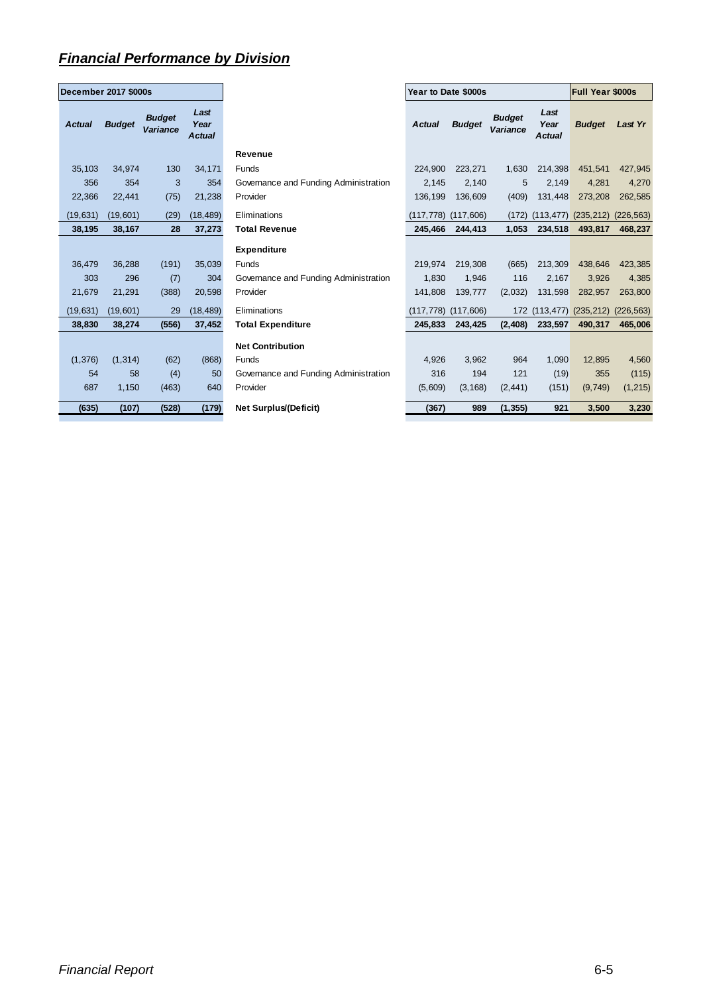## *Financial Performance by Division*

| December 2017 \$000s |               |                           |                               |  |  |  |  |  |  |
|----------------------|---------------|---------------------------|-------------------------------|--|--|--|--|--|--|
| <b>Actual</b>        | <b>Budget</b> | <b>Budget</b><br>Variance | Last<br>Year<br><b>Actual</b> |  |  |  |  |  |  |
| 35,103               | 34,974        | 130                       | 34,171                        |  |  |  |  |  |  |
| 356                  | 354           | 3                         | 354                           |  |  |  |  |  |  |
| 22,366               | 22.441        | (75)                      | 21,238                        |  |  |  |  |  |  |
| (19, 631)            | (19,601)      | (29)                      | (18, 489)                     |  |  |  |  |  |  |
| 38,195               | 38,167        | 28                        | 37,273                        |  |  |  |  |  |  |
|                      |               |                           |                               |  |  |  |  |  |  |
| 36,479               | 36,288        | (191)                     | 35,039                        |  |  |  |  |  |  |
| 303                  | 296           | (7)                       | 304                           |  |  |  |  |  |  |
| 21,679               | 21,291        | (388)                     | 20,598                        |  |  |  |  |  |  |
| (19, 631)            | (19,601)      | 29                        | (18, 489)                     |  |  |  |  |  |  |
| 38,830               | 38,274        | (556)                     | 37,452                        |  |  |  |  |  |  |
|                      |               |                           |                               |  |  |  |  |  |  |
| (1, 376)             | (1, 314)      | (62)                      | (868)                         |  |  |  |  |  |  |
| 54                   | 58            | (4)                       | 50                            |  |  |  |  |  |  |
| 687                  | 1,150         | (463)                     | 640                           |  |  |  |  |  |  |
| (635)                | (107)         | (528)                     | (179)                         |  |  |  |  |  |  |

| <b>December 2017 \$000s</b> |               |                                  |                               |                                       | Year to Date \$000s |                         |                           | <b>Full Year \$000s</b>       |                                        |          |
|-----------------------------|---------------|----------------------------------|-------------------------------|---------------------------------------|---------------------|-------------------------|---------------------------|-------------------------------|----------------------------------------|----------|
| <b>Actual</b>               | <b>Budget</b> | <b>Budget</b><br><b>Variance</b> | Last<br>Year<br><b>Actual</b> |                                       | <b>Actual</b>       | <b>Budget</b>           | <b>Budget</b><br>Variance | Last<br>Year<br><b>Actual</b> | <b>Budget</b>                          | Last Yr  |
|                             |               |                                  |                               | <b>Revenue</b>                        |                     |                         |                           |                               |                                        |          |
| 35,103                      | 34,974        | 130                              | 34,171                        | Funds                                 | 224,900             | 223,271                 | 1,630                     | 214,398                       | 451,541                                | 427,945  |
| 356                         | 354           | 3                                | 354                           | Governance and Funding Administration | 2,145               | 2,140                   | 5                         | 2,149                         | 4,281                                  | 4,270    |
| 22,366                      | 22,441        | (75)                             | 21,238                        | Provider                              | 136.199             | 136,609                 | (409)                     | 131,448                       | 273,208                                | 262,585  |
| (19, 631)                   | (19,601)      | (29)                             | (18, 489)                     | Eliminations                          |                     | $(117,778)$ $(117,606)$ | (172)                     |                               | $(113, 477)$ $(235, 212)$ $(226, 563)$ |          |
| 38,195                      | 38,167        | 28                               | 37,273                        | <b>Total Revenue</b>                  | 245.466             | 244,413                 | 1,053                     | 234,518                       | 493,817                                | 468,237  |
|                             |               |                                  |                               | <b>Expenditure</b>                    |                     |                         |                           |                               |                                        |          |
| 36,479                      | 36,288        | (191)                            | 35,039                        | Funds                                 | 219,974             | 219,308                 | (665)                     | 213,309                       | 438,646                                | 423,385  |
| 303                         | 296           | (7)                              | 304                           | Governance and Funding Administration | 1,830               | 1,946                   | 116                       | 2,167                         | 3,926                                  | 4,385    |
| 21,679                      | 21,291        | (388)                            | 20,598                        | Provider                              | 141,808             | 139,777                 | (2,032)                   | 131,598                       | 282,957                                | 263,800  |
| (19, 631)                   | (19,601)      | 29                               | (18, 489)                     | Eliminations                          | (117.778)           | (117, 606)              |                           | 172 (113,477)                 | $(235,212)$ $(226,563)$                |          |
| 38,830                      | 38,274        | (556)                            | 37,452                        | <b>Total Expenditure</b>              | 245,833             | 243,425                 | (2, 408)                  | 233,597                       | 490,317                                | 465,006  |
|                             |               |                                  |                               | <b>Net Contribution</b>               |                     |                         |                           |                               |                                        |          |
| (1, 376)                    | (1, 314)      | (62)                             | (868)                         | Funds                                 | 4,926               | 3,962                   | 964                       | 1,090                         | 12,895                                 | 4,560    |
| 54                          | 58            | (4)                              | 50                            | Governance and Funding Administration | 316                 | 194                     | 121                       | (19)                          | 355                                    | (115)    |
| 687                         | 1,150         | (463)                            | 640                           | Provider                              | (5,609)             | (3, 168)                | (2, 441)                  | (151)                         | (9,749)                                | (1, 215) |
| (635)                       | (107)         | (528)                            | (179)                         | <b>Net Surplus/(Deficit)</b>          | (367)               | 989                     | (1, 355)                  | 921                           | 3,500                                  | 3,230    |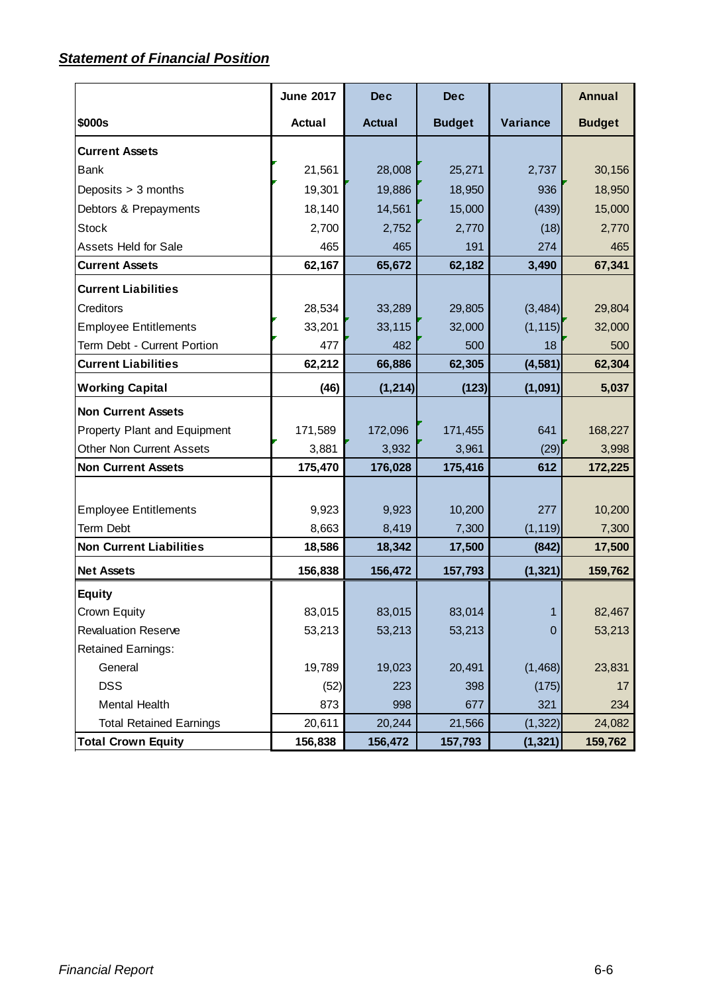# *Statement of Financial Position*

|                                 | <b>June 2017</b> | <b>Dec</b>    | <b>Dec</b>    |              | <b>Annual</b> |
|---------------------------------|------------------|---------------|---------------|--------------|---------------|
| <b>\$000s</b>                   | Actual           | <b>Actual</b> | <b>Budget</b> | Variance     | <b>Budget</b> |
| <b>Current Assets</b>           |                  |               |               |              |               |
| <b>Bank</b>                     | 21,561           | 28,008        | 25,271        | 2,737        | 30,156        |
| Deposits > 3 months             | 19,301           | 19,886        | 18,950        | 936          | 18,950        |
| Debtors & Prepayments           | 18,140           | 14,561        | 15,000        | (439)        | 15,000        |
| <b>Stock</b>                    | 2,700            | 2,752         | 2,770         | (18)         | 2,770         |
| <b>Assets Held for Sale</b>     | 465              | 465           | 191           | 274          | 465           |
| <b>Current Assets</b>           | 62,167           | 65,672        | 62,182        | 3,490        | 67,341        |
| <b>Current Liabilities</b>      |                  |               |               |              |               |
| <b>Creditors</b>                | 28,534           | 33,289        | 29,805        | (3, 484)     | 29,804        |
| <b>Employee Entitlements</b>    | 33,201           | 33,115        | 32,000        | (1, 115)     | 32,000        |
| Term Debt - Current Portion     | 477              | 482           | 500           | 18           | 500           |
| <b>Current Liabilities</b>      | 62,212           | 66,886        | 62,305        | (4, 581)     | 62,304        |
| <b>Working Capital</b>          | (46)             | (1, 214)      | (123)         | (1,091)      | 5,037         |
| <b>Non Current Assets</b>       |                  |               |               |              |               |
| Property Plant and Equipment    | 171,589          | 172,096       | 171,455       | 641          | 168,227       |
| <b>Other Non Current Assets</b> | 3,881            | 3,932         | 3,961         | (29)         | 3,998         |
| <b>Non Current Assets</b>       | 175,470          | 176,028       | 175,416       | 612          | 172,225       |
|                                 |                  |               |               |              |               |
| <b>Employee Entitlements</b>    | 9,923            | 9,923         | 10,200        | 277          | 10,200        |
| <b>Term Debt</b>                | 8,663            | 8,419         | 7,300         | (1, 119)     | 7,300         |
| <b>Non Current Liabilities</b>  | 18,586           | 18,342        | 17,500        | (842)        | 17,500        |
| <b>Net Assets</b>               | 156,838          | 156,472       | 157,793       | (1, 321)     | 159,762       |
| <b>Equity</b>                   |                  |               |               |              |               |
| Crown Equity                    | 83,015           | 83,015        | 83,014        | $\mathbf{1}$ | 82,467        |
| <b>Revaluation Reserve</b>      | 53,213           | 53,213        | 53,213        | $\mathbf 0$  | 53,213        |
| <b>Retained Earnings:</b>       |                  |               |               |              |               |
| General                         | 19,789           | 19,023        | 20,491        | (1,468)      | 23,831        |
| <b>DSS</b>                      | (52)             | 223           | 398           | (175)        | 17            |
| Mental Health                   | 873              | 998           | 677           | 321          | 234           |
| <b>Total Retained Earnings</b>  | 20,611           | 20,244        | 21,566        | (1, 322)     | 24,082        |
| <b>Total Crown Equity</b>       | 156,838          | 156,472       | 157,793       | (1, 321)     | 159,762       |